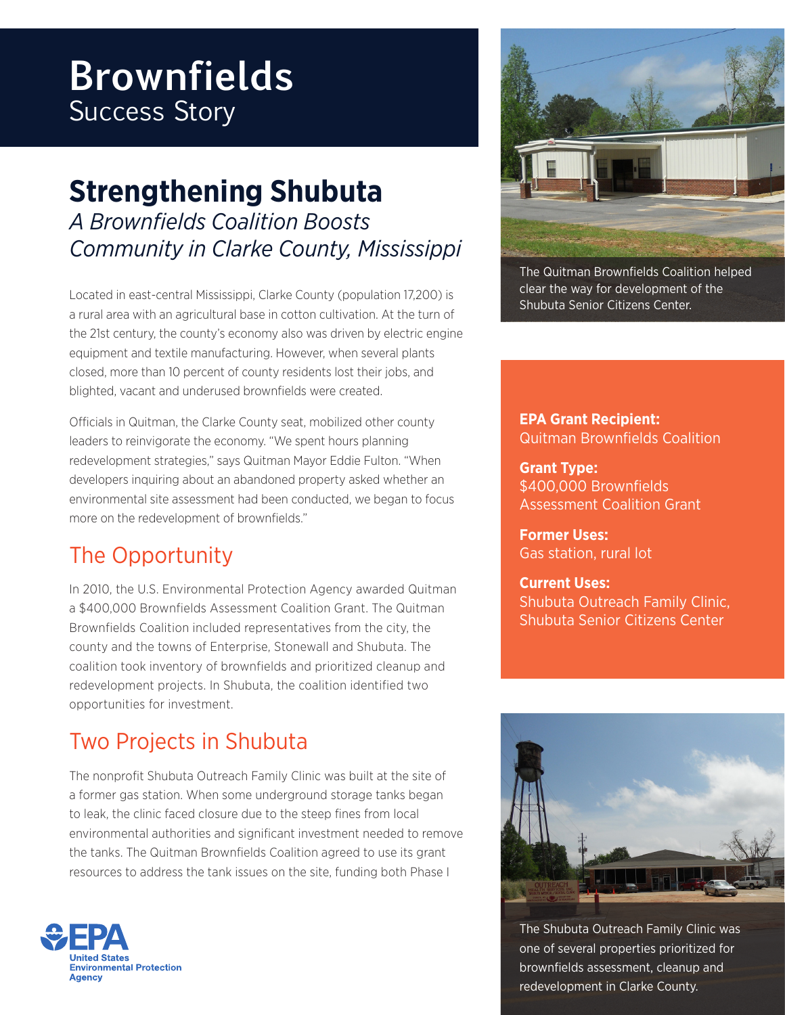# **Brownfields** Success Story

## **Strengthening Shubuta** *A Brownfields Coalition Boosts Community in Clarke County, Mississippi*

Located in east-central Mississippi, Clarke County (population 17,200) is a rural area with an agricultural base in cotton cultivation. At the turn of the 21st century, the county's economy also was driven by electric engine equipment and textile manufacturing. However, when several plants closed, more than 10 percent of county residents lost their jobs, and blighted, vacant and underused brownfields were created.

Officials in Quitman, the Clarke County seat, mobilized other county leaders to reinvigorate the economy. "We spent hours planning redevelopment strategies," says Quitman Mayor Eddie Fulton. "When developers inquiring about an abandoned property asked whether an environmental site assessment had been conducted, we began to focus more on the redevelopment of brownfields."

## The Opportunity

In 2010, the U.S. Environmental Protection Agency awarded Quitman a \$400,000 Brownfields Assessment Coalition Grant. The Quitman Brownfields Coalition included representatives from the city, the county and the towns of Enterprise, Stonewall and Shubuta. The coalition took inventory of brownfields and prioritized cleanup and redevelopment projects. In Shubuta, the coalition identified two opportunities for investment.

### Two Projects in Shubuta

The nonprofit Shubuta Outreach Family Clinic was built at the site of a former gas station. When some underground storage tanks began to leak, the clinic faced closure due to the steep fines from local environmental authorities and significant investment needed to remove the tanks. The Quitman Brownfields Coalition agreed to use its grant resources to address the tank issues on the site, funding both Phase I





The Quitman Brownfields Coalition helped clear the way for development of the Shubuta Senior Citizens Center.

**EPA Grant Recipient:**  Quitman Brownfields Coalition

**Grant Type:** \$400,000 Brownfields Assessment Coalition Grant

**Former Uses:**  Gas station, rural lot

**Current Uses:** Shubuta Outreach Family Clinic, Shubuta Senior Citizens Center



The Shubuta Outreach Family Clinic was one of several properties prioritized for brownfields assessment, cleanup and redevelopment in Clarke County.